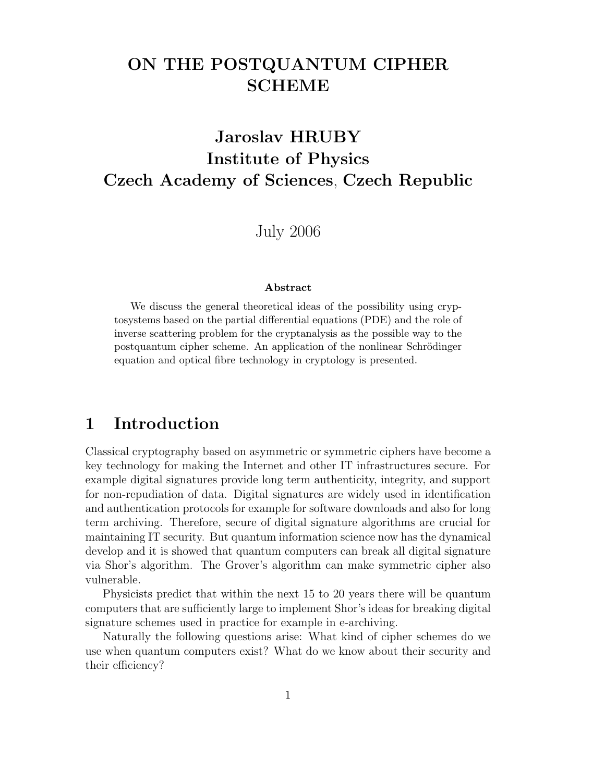# **ON THE POSTQUANTUM CIPHER SCHEME**

# **Jaroslav HRUBY Institute of Physics Czech Academy of Sciences**, **Czech Republic**

July 2006

#### **Abstract**

We discuss the general theoretical ideas of the possibility using cryptosystems based on the partial differential equations (PDE) and the role of inverse scattering problem for the cryptanalysis as the possible way to the postquantum cipher scheme. An application of the nonlinear Schrödinger equation and optical fibre technology in cryptology is presented.

### **1 Introduction**

Classical cryptography based on asymmetric or symmetric ciphers have become a key technology for making the Internet and other IT infrastructures secure. For example digital signatures provide long term authenticity, integrity, and support for non-repudiation of data. Digital signatures are widely used in identification and authentication protocols for example for software downloads and also for long term archiving. Therefore, secure of digital signature algorithms are crucial for maintaining IT security. But quantum information science now has the dynamical develop and it is showed that quantum computers can break all digital signature via Shor's algorithm. The Grover's algorithm can make symmetric cipher also vulnerable.

Physicists predict that within the next 15 to 20 years there will be quantum computers that are sufficiently large to implement Shor's ideas for breaking digital signature schemes used in practice for example in e-archiving.

Naturally the following questions arise: What kind of cipher schemes do we use when quantum computers exist? What do we know about their security and their efficiency?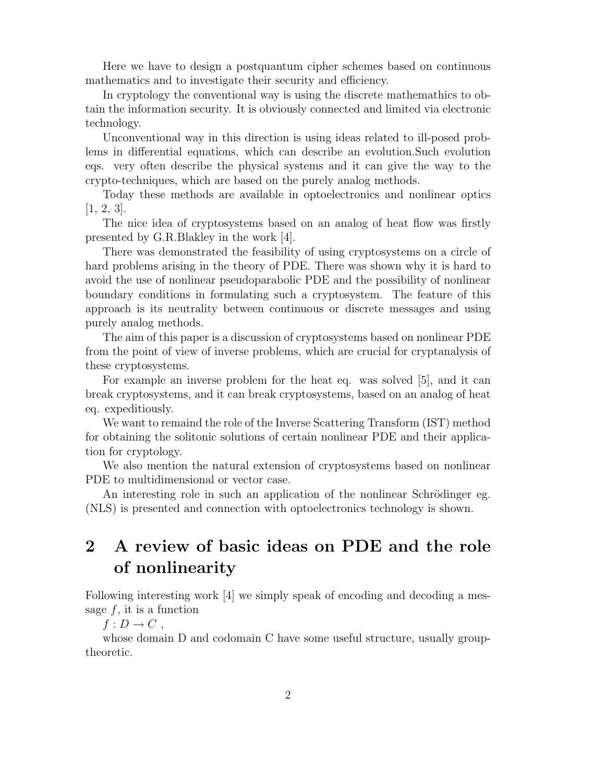Here we have to design a postquantum cipher schemes based on continuous mathematics and to investigate their security and efficiency.

In cryptology the conventional way is using the discrete mathemathics to obtain the information security. It is obviously connected and limited via electronic technology.

Unconventional way in this direction is using ideas related to ill-posed problems in differential equations, which can describe an evolution.Such evolution eqs. very often describe the physical systems and it can give the way to the crypto-techniques, which are based on the purely analog methods.

Today these methods are available in optoelectronics and nonlinear optics  $[1, 2, 3].$ 

The nice idea of cryptosystems based on an analog of heat flow was firstly presented by G.R.Blakley in the work [4].

There was demonstrated the feasibility of using cryptosystems on a circle of hard problems arising in the theory of PDE. There was shown why it is hard to avoid the use of nonlinear pseudoparabolic PDE and the possibility of nonlinear boundary conditions in formulating such a cryptosystem. The feature of this approach is its neutrality between continuous or discrete messages and using purely analog methods.

The aim of this paper is a discussion of cryptosystems based on nonlinear PDE from the point of view of inverse problems, which are crucial for cryptanalysis of these cryptosystems.

For example an inverse problem for the heat eq. was solved [5], and it can break cryptosystems, and it can break cryptosystems, based on an analog of heat eq. expeditiously.

We want to remaind the role of the Inverse Scattering Transform (IST) method for obtaining the solitonic solutions of certain nonlinear PDE and their application for cryptology.

We also mention the natural extension of cryptosystems based on nonlinear PDE to multidimensional or vector case.

An interesting role in such an application of the nonlinear Schrödinger eg. (NLS) is presented and connection with optoelectronics technology is shown.

### **2 A review of basic ideas on PDE and the role of nonlinearity**

Following interesting work [4] we simply speak of encoding and decoding a message  $f$ , it is a function

 $f: D \to C$ ,

whose domain D and codomain C have some useful structure, usually grouptheoretic.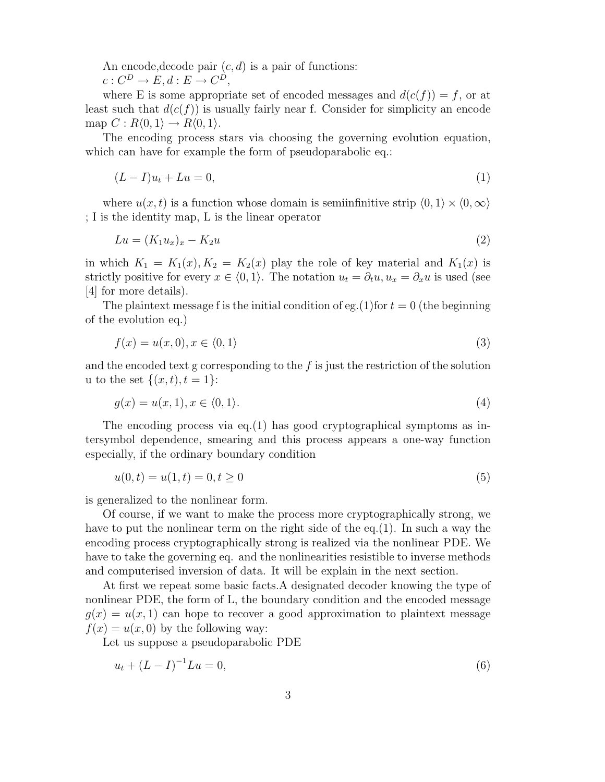An encode, decode pair  $(c, d)$  is a pair of functions:

 $c: C^D \to E, d: E \to C^D$ ,

where E is some appropriate set of encoded messages and  $d(c(f)) = f$ , or at least such that  $d(c(f))$  is usually fairly near f. Consider for simplicity an encode map  $C: R(0,1) \to R(0,1)$ .

The encoding process stars via choosing the governing evolution equation, which can have for example the form of pseudoparabolic eq.:

$$
(L-I)u_t + Lu = 0,\t\t(1)
$$

where  $u(x, t)$  is a function whose domain is semiinfinitive strip  $\langle 0, 1 \rangle \times \langle 0, \infty \rangle$ ; I is the identity map, L is the linear operator

$$
Lu = (K_1 u_x)_x - K_2 u \tag{2}
$$

in which  $K_1 = K_1(x)$ ,  $K_2 = K_2(x)$  play the role of key material and  $K_1(x)$  is strictly positive for every  $x \in (0, 1)$ . The notation  $u_t = \partial_t u, u_x = \partial_x u$  is used (see [4] for more details).

The plaintext message f is the initial condition of eg.(1)for  $t = 0$  (the beginning of the evolution eq.)

$$
f(x) = u(x,0), x \in \langle 0,1 \rangle \tag{3}
$$

and the encoded text g corresponding to the  $f$  is just the restriction of the solution u to the set  $\{(x, t), t = 1\}$ :

$$
g(x) = u(x, 1), x \in \langle 0, 1 \rangle. \tag{4}
$$

The encoding process via eq.  $(1)$  has good cryptographical symptoms as intersymbol dependence, smearing and this process appears a one-way function especially, if the ordinary boundary condition

$$
u(0,t) = u(1,t) = 0, t \ge 0
$$
\n<sup>(5)</sup>

is generalized to the nonlinear form.

Of course, if we want to make the process more cryptographically strong, we have to put the nonlinear term on the right side of the eq.(1). In such a way the encoding process cryptographically strong is realized via the nonlinear PDE. We have to take the governing eq. and the nonlinearities resistible to inverse methods and computerised inversion of data. It will be explain in the next section.

At first we repeat some basic facts.A designated decoder knowing the type of nonlinear PDE, the form of L, the boundary condition and the encoded message  $g(x) = u(x, 1)$  can hope to recover a good approximation to plaintext message  $f(x) = u(x, 0)$  by the following way:

Let us suppose a pseudoparabolic PDE

$$
u_t + (L - I)^{-1}Lu = 0,\t\t(6)
$$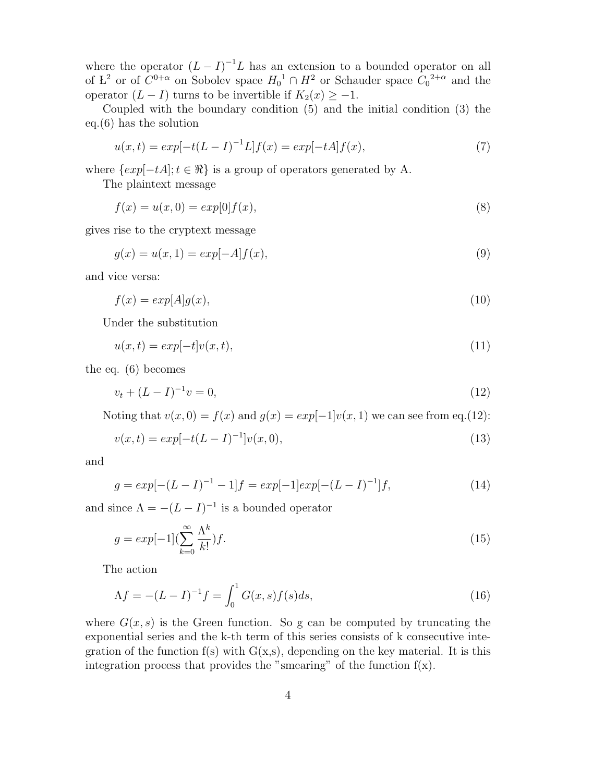where the operator  $(L - I)^{-1}L$  has an extension to a bounded operator on all of L<sup>2</sup> or of  $C^{0+\alpha}$  on Sobolev space  $H_0^{-1} \cap H^2$  or Schauder space  $C_0^{-2+\alpha}$  and the operator  $(L - I)$  turns to be invertible if  $K_2(x) \geq -1$ .

Coupled with the boundary condition (5) and the initial condition (3) the eq.(6) has the solution

$$
u(x,t) = exp[-t(L - I)^{-1}L]f(x) = exp[-tA]f(x),
$$
\n(7)

where  $\{exp[-tA]; t \in \Re\}$  is a group of operators generated by A.

The plaintext message

$$
f(x) = u(x,0) = exp[0]f(x),
$$
\n(8)

gives rise to the cryptext message

$$
g(x) = u(x, 1) = exp[-A]f(x),
$$
\n(9)

and vice versa:

$$
f(x) = exp[A]g(x),
$$
\n(10)

Under the substitution

$$
u(x,t) = exp[-t]v(x,t),
$$
\n(11)

the eq. (6) becomes

$$
v_t + (L - I)^{-1} v = 0,\t\t(12)
$$

Noting that  $v(x, 0) = f(x)$  and  $g(x) = exp[-1]v(x, 1)$  we can see from eq.(12):

$$
v(x,t) = exp[-t(L - I)^{-1}]v(x,0),
$$
\n(13)

and

$$
g = exp[-(L - I)^{-1} - 1]f = exp[-1]exp[-(L - I)^{-1}]f,
$$
\n(14)

and since  $\Lambda = -(L - I)^{-1}$  is a bounded operator

$$
g = exp[-1](\sum_{k=0}^{\infty} \frac{\Lambda^k}{k!})f.
$$
\n(15)

The action

$$
\Lambda f = -(L - I)^{-1} f = \int_0^1 G(x, s) f(s) ds,
$$
\n(16)

where  $G(x, s)$  is the Green function. So g can be computed by truncating the exponential series and the k-th term of this series consists of k consecutive integration of the function  $f(s)$  with  $G(x,s)$ , depending on the key material. It is this integration process that provides the "smearing" of the function  $f(x)$ .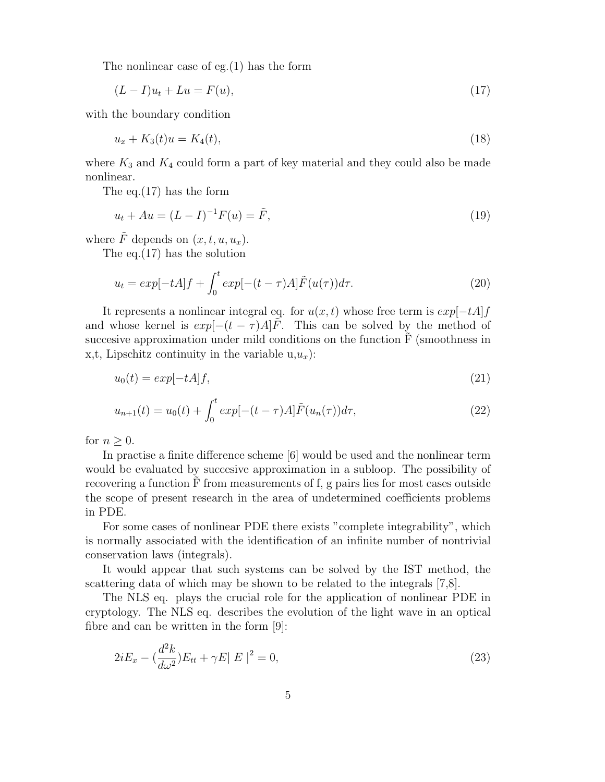The nonlinear case of eg.(1) has the form

$$
(L - I)u_t + Lu = F(u),\tag{17}
$$

with the boundary condition

$$
u_x + K_3(t)u = K_4(t),
$$
\n(18)

where  $K_3$  and  $K_4$  could form a part of key material and they could also be made nonlinear.

The eq.(17) has the form

$$
u_t + Au = (L - I)^{-1}F(u) = \tilde{F},
$$
\n(19)

where  $\tilde{F}$  depends on  $(x, t, u, u_r)$ .

The eq.(17) has the solution

$$
u_t = exp[-tA]f + \int_0^t exp[-(t-\tau)A]\tilde{F}(u(\tau))d\tau.
$$
\n(20)

It represents a nonlinear integral eq. for  $u(x, t)$  whose free term is  $exp[-tA]f$ and whose kernel is  $exp[-(t - \tau)A]F$ . This can be solved by the method of succesive approximation under mild conditions on the function  $F$  (smoothness in x,t, Lipschitz continuity in the variable  $u, u_x$ ):

$$
u_0(t) = exp[-tA]f,\t\t(21)
$$

$$
u_{n+1}(t) = u_0(t) + \int_0^t exp[-(t-\tau)A]\tilde{F}(u_n(\tau))d\tau,
$$
\n(22)

for  $n > 0$ .

In practise a finite difference scheme [6] would be used and the nonlinear term would be evaluated by succesive approximation in a subloop. The possibility of recovering a function  $F$  from measurements of f, g pairs lies for most cases outside the scope of present research in the area of undetermined coefficients problems in PDE.

For some cases of nonlinear PDE there exists "complete integrability", which is normally associated with the identification of an infinite number of nontrivial conservation laws (integrals).

It would appear that such systems can be solved by the IST method, the scattering data of which may be shown to be related to the integrals [7,8].

The NLS eq. plays the crucial role for the application of nonlinear PDE in cryptology. The NLS eq. describes the evolution of the light wave in an optical fibre and can be written in the form [9]:

$$
2iE_x - \left(\frac{d^2k}{d\omega^2}\right)E_{tt} + \gamma E|E|^2 = 0,
$$
\n(23)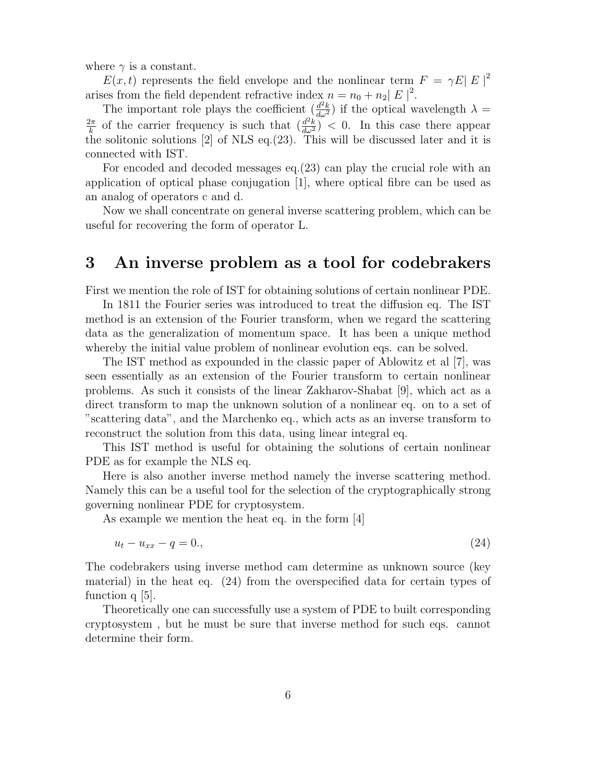where  $\gamma$  is a constant.

 $E(x,t)$  represents the field envelope and the nonlinear term  $F = \gamma E |E|^2$ arises from the field dependent refractive index  $n = n_0 + n_2 |E|^2$ .

The important role plays the coefficient  $\left(\frac{d^2k}{d\omega^2}\right)$  if the optical wavelength  $\lambda =$  $\frac{2\pi}{k}$  of the carrier frequency is such that  $\left(\frac{d^2k}{d\omega^2}\right)^2 < 0$ . In this case there appear the solitonic solutions [2] of NLS eq.(23). This will be discussed later and it is connected with IST.

For encoded and decoded messages eq.(23) can play the crucial role with an application of optical phase conjugation [1], where optical fibre can be used as an analog of operators c and d.

Now we shall concentrate on general inverse scattering problem, which can be useful for recovering the form of operator L.

#### **3 An inverse problem as a tool for codebrakers**

First we mention the role of IST for obtaining solutions of certain nonlinear PDE.

In 1811 the Fourier series was introduced to treat the diffusion eq. The IST method is an extension of the Fourier transform, when we regard the scattering data as the generalization of momentum space. It has been a unique method whereby the initial value problem of nonlinear evolution eqs. can be solved.

The IST method as expounded in the classic paper of Ablowitz et al [7], was seen essentially as an extension of the Fourier transform to certain nonlinear problems. As such it consists of the linear Zakharov-Shabat [9], which act as a direct transform to map the unknown solution of a nonlinear eq. on to a set of "scattering data", and the Marchenko eq., which acts as an inverse transform to reconstruct the solution from this data, using linear integral eq.

This IST method is useful for obtaining the solutions of certain nonlinear PDE as for example the NLS eq.

Here is also another inverse method namely the inverse scattering method. Namely this can be a useful tool for the selection of the cryptographically strong governing nonlinear PDE for cryptosystem.

As example we mention the heat eq. in the form [4]

$$
u_t - u_{xx} - q = 0,\t\t(24)
$$

The codebrakers using inverse method cam determine as unknown source (key material) in the heat eq. (24) from the overspecified data for certain types of function q [5].

Theoretically one can successfully use a system of PDE to built corresponding cryptosystem , but he must be sure that inverse method for such eqs. cannot determine their form.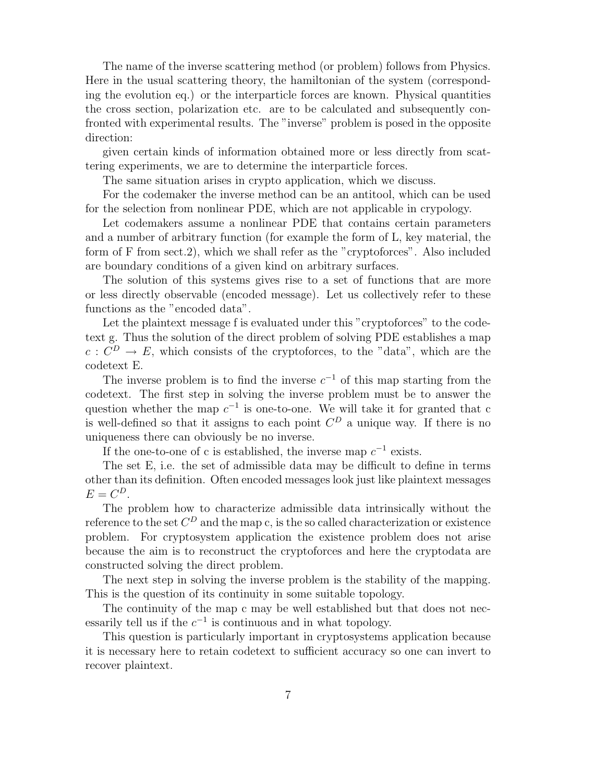The name of the inverse scattering method (or problem) follows from Physics. Here in the usual scattering theory, the hamiltonian of the system (corresponding the evolution eq.) or the interparticle forces are known. Physical quantities the cross section, polarization etc. are to be calculated and subsequently confronted with experimental results. The "inverse" problem is posed in the opposite direction:

given certain kinds of information obtained more or less directly from scattering experiments, we are to determine the interparticle forces.

The same situation arises in crypto application, which we discuss.

For the codemaker the inverse method can be an antitool, which can be used for the selection from nonlinear PDE, which are not applicable in crypology.

Let codemakers assume a nonlinear PDE that contains certain parameters and a number of arbitrary function (for example the form of L, key material, the form of F from sect.2), which we shall refer as the "cryptoforces". Also included are boundary conditions of a given kind on arbitrary surfaces.

The solution of this systems gives rise to a set of functions that are more or less directly observable (encoded message). Let us collectively refer to these functions as the "encoded data".

Let the plaintext message f is evaluated under this "cryptoforces" to the codetext g. Thus the solution of the direct problem of solving PDE establishes a map  $c: C^D \to E$ , which consists of the cryptoforces, to the "data", which are the codetext E.

The inverse problem is to find the inverse  $c^{-1}$  of this map starting from the codetext. The first step in solving the inverse problem must be to answer the question whether the map  $c^{-1}$  is one-to-one. We will take it for granted that c is well-defined so that it assigns to each point  $C^D$  a unique way. If there is no uniqueness there can obviously be no inverse.

If the one-to-one of c is established, the inverse map  $c^{-1}$  exists.

The set E, i.e. the set of admissible data may be difficult to define in terms other than its definition. Often encoded messages look just like plaintext messages  $E = C^D$ .

The problem how to characterize admissible data intrinsically without the reference to the set  $C^D$  and the map c, is the so called characterization or existence problem. For cryptosystem application the existence problem does not arise because the aim is to reconstruct the cryptoforces and here the cryptodata are constructed solving the direct problem.

The next step in solving the inverse problem is the stability of the mapping. This is the question of its continuity in some suitable topology.

The continuity of the map c may be well established but that does not necessarily tell us if the  $c^{-1}$  is continuous and in what topology.

This question is particularly important in cryptosystems application because it is necessary here to retain codetext to sufficient accuracy so one can invert to recover plaintext.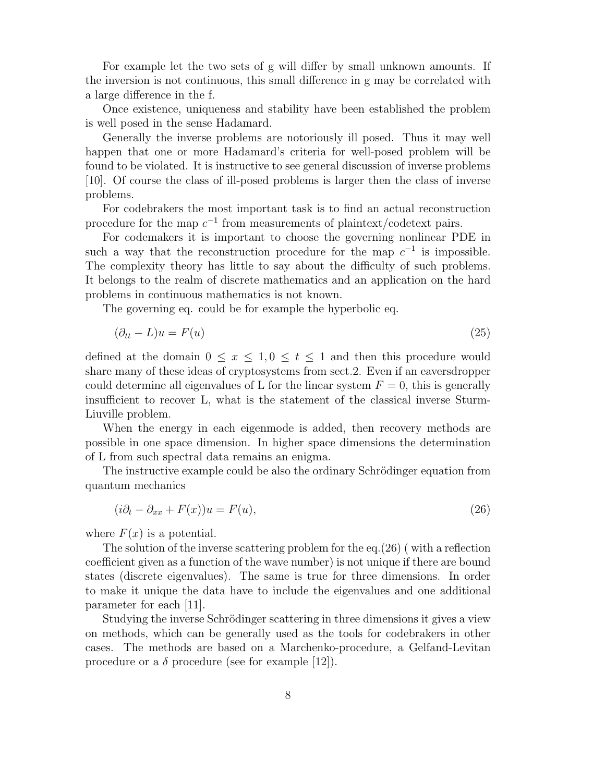For example let the two sets of g will differ by small unknown amounts. If the inversion is not continuous, this small difference in g may be correlated with a large difference in the f.

Once existence, uniqueness and stability have been established the problem is well posed in the sense Hadamard.

Generally the inverse problems are notoriously ill posed. Thus it may well happen that one or more Hadamard's criteria for well-posed problem will be found to be violated. It is instructive to see general discussion of inverse problems [10]. Of course the class of ill-posed problems is larger then the class of inverse problems.

For codebrakers the most important task is to find an actual reconstruction procedure for the map  $c^{-1}$  from measurements of plaintext/codetext pairs.

For codemakers it is important to choose the governing nonlinear PDE in such a way that the reconstruction procedure for the map  $c^{-1}$  is impossible. The complexity theory has little to say about the difficulty of such problems. It belongs to the realm of discrete mathematics and an application on the hard problems in continuous mathematics is not known.

The governing eq. could be for example the hyperbolic eq.

$$
(\partial_{tt} - L)u = F(u) \tag{25}
$$

defined at the domain  $0 \le x \le 1, 0 \le t \le 1$  and then this procedure would share many of these ideas of cryptosystems from sect.2. Even if an eaversdropper could determine all eigenvalues of L for the linear system  $F = 0$ , this is generally insufficient to recover L, what is the statement of the classical inverse Sturm-Liuville problem.

When the energy in each eigenmode is added, then recovery methods are possible in one space dimension. In higher space dimensions the determination of L from such spectral data remains an enigma.

The instructive example could be also the ordinary Schrödinger equation from quantum mechanics

$$
(i\partial_t - \partial_{xx} + F(x))u = F(u),\tag{26}
$$

where  $F(x)$  is a potential.

The solution of the inverse scattering problem for the eq.  $(26)$  (with a reflection coefficient given as a function of the wave number) is not unique if there are bound states (discrete eigenvalues). The same is true for three dimensions. In order to make it unique the data have to include the eigenvalues and one additional parameter for each [11].

Studying the inverse Schrödinger scattering in three dimensions it gives a view on methods, which can be generally used as the tools for codebrakers in other cases. The methods are based on a Marchenko-procedure, a Gelfand-Levitan procedure or a  $\delta$  procedure (see for example [12]).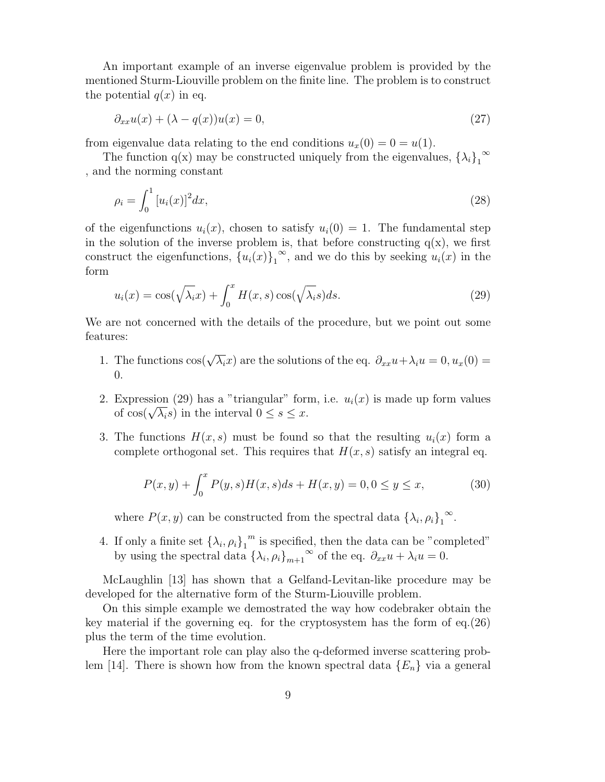An important example of an inverse eigenvalue problem is provided by the mentioned Sturm-Liouville problem on the finite line. The problem is to construct the potential  $q(x)$  in eq.

$$
\partial_{xx}u(x) + (\lambda - q(x))u(x) = 0,\t\t(27)
$$

from eigenvalue data relating to the end conditions  $u_x(0) = 0 = u(1)$ .

The function q(x) may be constructed uniquely from the eigenvalues,  $\{\lambda_i\}_1^{\infty}$ , and the norming constant

$$
\rho_i = \int_0^1 [u_i(x)]^2 dx,
$$
\n(28)

of the eigenfunctions  $u_i(x)$ , chosen to satisfy  $u_i(0) = 1$ . The fundamental step in the solution of the inverse problem is, that before constructing  $q(x)$ , we first construct the eigenfunctions,  ${u_i(x)}_1^{\infty}$ , and we do this by seeking  $u_i(x)$  in the form

$$
u_i(x) = \cos(\sqrt{\lambda_i}x) + \int_0^x H(x, s) \cos(\sqrt{\lambda_i}s) ds.
$$
 (29)

We are not concerned with the details of the procedure, but we point out some features:

- 1. The functions  $\cos(\sqrt{\lambda_i}x)$  are the solutions of the eq.  $\partial_{xx}u + \lambda_i u = 0, u_x(0) =$ 0.
- 2. Expression (29) has a "triangular" form, i.e.  $u_i(x)$  is made up form values of  $\cos(\sqrt{\lambda_i}s)$  in the interval  $0 \leq s \leq x$ .
- 3. The functions  $H(x, s)$  must be found so that the resulting  $u_i(x)$  form a complete orthogonal set. This requires that  $H(x, s)$  satisfy an integral eq.

$$
P(x, y) + \int_0^x P(y, s)H(x, s)ds + H(x, y) = 0, 0 \le y \le x,
$$
 (30)

where  $P(x, y)$  can be constructed from the spectral data  $\{\lambda_i, \rho_i\}_1^\infty$ .

4. If only a finite set  $\{\lambda_i, \rho_i\}_1^m$  is specified, then the data can be "completed" by using the spectral data  $\{\lambda_i, \rho_i\}_{m+1}^{\infty}$  of the eq.  $\partial_{xx}u + \lambda_i u = 0$ .

McLaughlin [13] has shown that a Gelfand-Levitan-like procedure may be developed for the alternative form of the Sturm-Liouville problem.

On this simple example we demostrated the way how codebraker obtain the key material if the governing eq. for the cryptosystem has the form of eq.(26) plus the term of the time evolution.

Here the important role can play also the q-deformed inverse scattering problem [14]. There is shown how from the known spectral data  ${E_n}$  via a general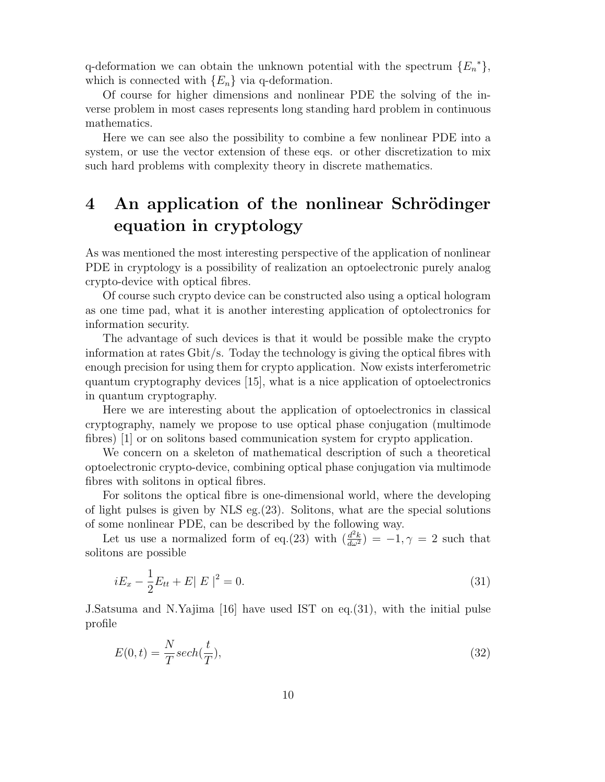q-deformation we can obtain the unknown potential with the spectrum  ${E_n}^*$ , which is connected with  ${E_n}$  via q-deformation.

Of course for higher dimensions and nonlinear PDE the solving of the inverse problem in most cases represents long standing hard problem in continuous mathematics.

Here we can see also the possibility to combine a few nonlinear PDE into a system, or use the vector extension of these eqs. or other discretization to mix such hard problems with complexity theory in discrete mathematics.

## **4** An application of the nonlinear Schrödinger **equation in cryptology**

As was mentioned the most interesting perspective of the application of nonlinear PDE in cryptology is a possibility of realization an optoelectronic purely analog crypto-device with optical fibres.

Of course such crypto device can be constructed also using a optical hologram as one time pad, what it is another interesting application of optolectronics for information security.

The advantage of such devices is that it would be possible make the crypto information at rates Gbit/s. Today the technology is giving the optical fibres with enough precision for using them for crypto application. Now exists interferometric quantum cryptography devices [15], what is a nice application of optoelectronics in quantum cryptography.

Here we are interesting about the application of optoelectronics in classical cryptography, namely we propose to use optical phase conjugation (multimode fibres) [1] or on solitons based communication system for crypto application.

We concern on a skeleton of mathematical description of such a theoretical optoelectronic crypto-device, combining optical phase conjugation via multimode fibres with solitons in optical fibres.

For solitons the optical fibre is one-dimensional world, where the developing of light pulses is given by NLS eg.(23). Solitons, what are the special solutions of some nonlinear PDE, can be described by the following way.

Let us use a normalized form of eq.(23) with  $\left(\frac{d^2k}{d\omega^2}\right) = -1, \gamma = 2$  such that solitons are possible

$$
iE_x - \frac{1}{2}E_{tt} + E||E||^2 = 0.
$$
\n(31)

J.Satsuma and N.Yajima [16] have used IST on eq.(31), with the initial pulse profile

$$
E(0,t) = \frac{N}{T} sech(\frac{t}{T}),
$$
\n(32)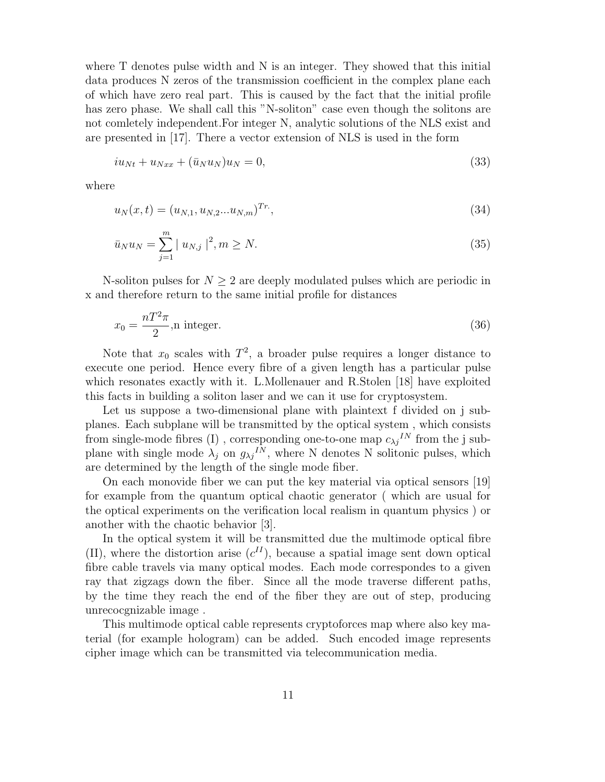where T denotes pulse width and N is an integer. They showed that this initial data produces N zeros of the transmission coefficient in the complex plane each of which have zero real part. This is caused by the fact that the initial profile has zero phase. We shall call this "N-soliton" case even though the solitons are not comletely independent.For integer N, analytic solutions of the NLS exist and are presented in [17]. There a vector extension of NLS is used in the form

$$
iu_{Nt} + u_{Nxx} + (\bar{u}_N u_N)u_N = 0,\t\t(33)
$$

where

$$
u_N(x,t) = (u_{N,1}, u_{N,2}...u_{N,m})^{Tr},
$$
\n(34)

$$
\bar{u}_N u_N = \sum_{j=1}^m |u_{N,j}|^2, m \ge N. \tag{35}
$$

N-soliton pulses for  $N \geq 2$  are deeply modulated pulses which are periodic in x and therefore return to the same initial profile for distances

$$
x_0 = \frac{nT^2 \pi}{2}, \text{n integer.} \tag{36}
$$

Note that  $x_0$  scales with  $T^2$ , a broader pulse requires a longer distance to execute one period. Hence every fibre of a given length has a particular pulse which resonates exactly with it. L.Mollenauer and R.Stolen [18] have exploited this facts in building a soliton laser and we can it use for cryptosystem.

Let us suppose a two-dimensional plane with plaintext f divided on j subplanes. Each subplane will be transmitted by the optical system , which consists from single-mode fibres (I), corresponding one-to-one map  $c_{\lambda j}^{IN}$  from the j subplane with single mode  $\lambda_j$  on  $g_{\lambda j}I^N$ , where N denotes N solitonic pulses, which are determined by the length of the single mode fiber.

On each monovide fiber we can put the key material via optical sensors [19] for example from the quantum optical chaotic generator ( which are usual for the optical experiments on the verification local realism in quantum physics ) or another with the chaotic behavior [3].

In the optical system it will be transmitted due the multimode optical fibre (II), where the distortion arise  $(c^{II})$ , because a spatial image sent down optical fibre cable travels via many optical modes. Each mode correspondes to a given ray that zigzags down the fiber. Since all the mode traverse different paths, by the time they reach the end of the fiber they are out of step, producing unrecocgnizable image .

This multimode optical cable represents cryptoforces map where also key material (for example hologram) can be added. Such encoded image represents cipher image which can be transmitted via telecommunication media.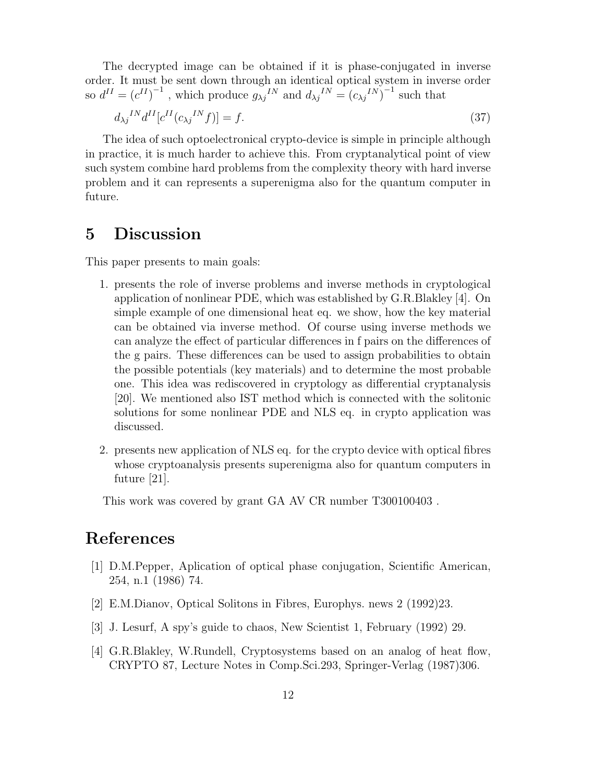The decrypted image can be obtained if it is phase-conjugated in inverse order. It must be sent down through an identical optical system in inverse order so  $d^{II} = (c^{II})^{-1}$ , which produce  $g_{\lambda j}^{IIN}$  and  $d_{\lambda j}^{IIN} = (c_{\lambda j}^{IIN})^{-1}$  such that

$$
d_{\lambda j}^{IN} d^{II} [c^{II} (c_{\lambda j}^{IN} f)] = f. \tag{37}
$$

The idea of such optoelectronical crypto-device is simple in principle although in practice, it is much harder to achieve this. From cryptanalytical point of view such system combine hard problems from the complexity theory with hard inverse problem and it can represents a superenigma also for the quantum computer in future.

### **5 Discussion**

This paper presents to main goals:

- 1. presents the role of inverse problems and inverse methods in cryptological application of nonlinear PDE, which was established by G.R.Blakley [4]. On simple example of one dimensional heat eq. we show, how the key material can be obtained via inverse method. Of course using inverse methods we can analyze the effect of particular differences in f pairs on the differences of the g pairs. These differences can be used to assign probabilities to obtain the possible potentials (key materials) and to determine the most probable one. This idea was rediscovered in cryptology as differential cryptanalysis [20]. We mentioned also IST method which is connected with the solitonic solutions for some nonlinear PDE and NLS eq. in crypto application was discussed.
- 2. presents new application of NLS eq. for the crypto device with optical fibres whose cryptoanalysis presents superenigma also for quantum computers in future [21].

This work was covered by grant GA AV CR number T300100403 .

### **References**

- [1] D.M.Pepper, Aplication of optical phase conjugation, Scientific American, 254, n.1 (1986) 74.
- [2] E.M.Dianov, Optical Solitons in Fibres, Europhys. news 2 (1992)23.
- [3] J. Lesurf, A spy's guide to chaos, New Scientist 1, February (1992) 29.
- [4] G.R.Blakley, W.Rundell, Cryptosystems based on an analog of heat flow, CRYPTO 87, Lecture Notes in Comp.Sci.293, Springer-Verlag (1987)306.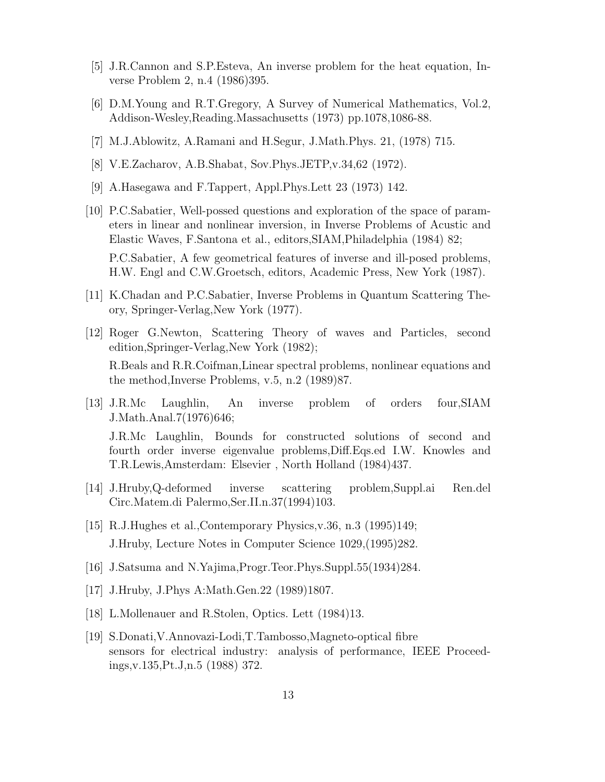- [5] J.R.Cannon and S.P.Esteva, An inverse problem for the heat equation, Inverse Problem 2, n.4 (1986)395.
- [6] D.M.Young and R.T.Gregory, A Survey of Numerical Mathematics, Vol.2, Addison-Wesley,Reading.Massachusetts (1973) pp.1078,1086-88.
- [7] M.J.Ablowitz, A.Ramani and H.Segur, J.Math.Phys. 21, (1978) 715.
- [8] V.E.Zacharov, A.B.Shabat, Sov.Phys.JETP,v.34,62 (1972).
- [9] A.Hasegawa and F.Tappert, Appl.Phys.Lett 23 (1973) 142.
- [10] P.C.Sabatier, Well-possed questions and exploration of the space of parameters in linear and nonlinear inversion, in Inverse Problems of Acustic and Elastic Waves, F.Santona et al., editors,SIAM,Philadelphia (1984) 82; P.C.Sabatier, A few geometrical features of inverse and ill-posed problems, H.W. Engl and C.W.Groetsch, editors, Academic Press, New York (1987).
- [11] K.Chadan and P.C.Sabatier, Inverse Problems in Quantum Scattering Theory, Springer-Verlag,New York (1977).
- [12] Roger G.Newton, Scattering Theory of waves and Particles, second edition,Springer-Verlag,New York (1982); R.Beals and R.R.Coifman,Linear spectral problems, nonlinear equations and the method,Inverse Problems, v.5, n.2 (1989)87.
- [13] J.R.Mc Laughlin, An inverse problem of orders four,SIAM J.Math.Anal.7(1976)646; J.R.Mc Laughlin, Bounds for constructed solutions of second and fourth order inverse eigenvalue problems,Diff.Eqs.ed I.W. Knowles and T.R.Lewis,Amsterdam: Elsevier , North Holland (1984)437.
- [14] J.Hruby,Q-deformed inverse scattering problem,Suppl.ai Ren.del Circ.Matem.di Palermo,Ser.II.n.37(1994)103.
- [15] R.J.Hughes et al.,Contemporary Physics,v.36, n.3 (1995)149; J.Hruby, Lecture Notes in Computer Science 1029,(1995)282.
- [16] J.Satsuma and N.Yajima,Progr.Teor.Phys.Suppl.55(1934)284.
- [17] J.Hruby, J.Phys A:Math.Gen.22 (1989)1807.
- [18] L.Mollenauer and R.Stolen, Optics. Lett (1984)13.
- [19] S.Donati,V.Annovazi-Lodi,T.Tambosso,Magneto-optical fibre sensors for electrical industry: analysis of performance, IEEE Proceedings,v.135,Pt.J,n.5 (1988) 372.